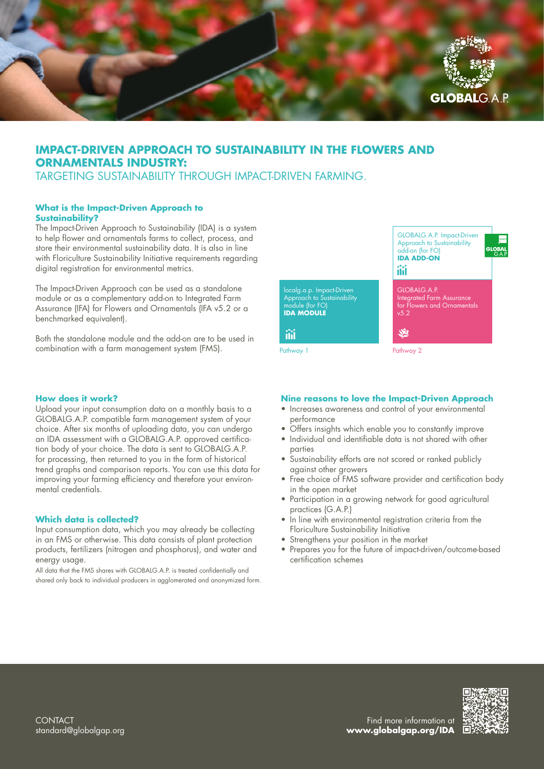

# **IMPACT-DRIVEN APPROACH TO SUSTAINABILITY IN THE FLOWERS AND ORNAMENTALS INDUSTRY:**

TARGETING SUSTAINABILITY THROUGH IMPACT-DRIVEN FARMING.

# **What is the Impact-Driven Approach to Sustainability?**

The Impact-Driven Approach to Sustainability (IDA) is a system to help flower and ornamentals farms to collect, process, and store their environmental sustainability data. It is also in line with Floriculture Sustainability Initiative requirements regarding digital registration for environmental metrics.

The Impact-Driven Approach can be used as a standalone module or as a complementary add-on to Integrated Farm Assurance (IFA) for Flowers and Ornamentals (IFA v5.2 or a benchmarked equivalent).

Both the standalone module and the add-on are to be used in combination with a farm management system (FMS).

### **How does it work?**

Upload your input consumption data on a monthly basis to a GLOBALG.A.P. compatible farm management system of your choice. After six months of uploading data, you can undergo an IDA assessment with a GLOBALG.A.P. approved certification body of your choice. The data is sent to GLOBALG.A.P. for processing, then returned to you in the form of historical trend graphs and comparison reports. You can use this data for improving your farming efficiency and therefore your environmental credentials.

### **Which data is collected?**

Input consumption data, which you may already be collecting in an FMS or otherwise. This data consists of plant protection products, fertilizers (nitrogen and phosphorus), and water and energy usage.

All data that the FMS shares with GLOBALG.A.P. is treated confidentially and shared only back to individual producers in agglomerated and anonymized form.



### **Nine reasons to love the Impact-Driven Approach**

- Increases awareness and control of your environmental performance
- Offers insights which enable you to constantly improve
- Individual and identifiable data is not shared with other parties
- Sustainability efforts are not scored or ranked publicly against other growers
- Free choice of FMS software provider and certification body in the open market
- Participation in a growing network for good agricultural practices (G.A.P.)
- In line with environmental registration criteria from the Floriculture Sustainability Initiative
- Strengthens your position in the market
- Prepares you for the future of impact-driven/outcome-based certification schemes